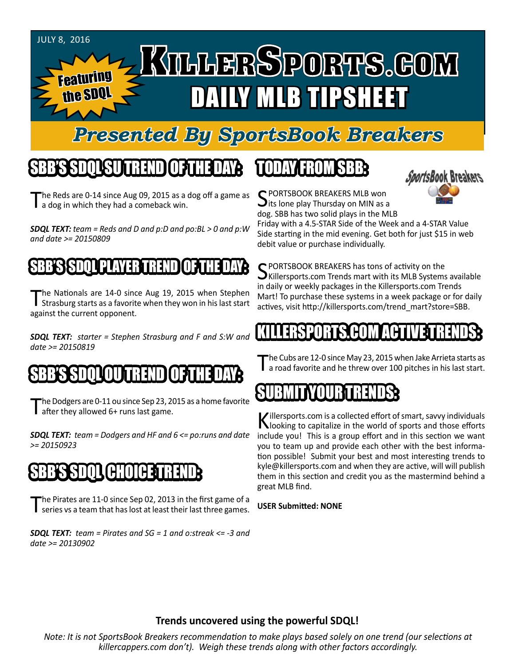#### JuLY 8, 2016

#### KILLERSPORTS.GOM Featuring DAILY MLB TIPSHEET the SDQL

## *Presented By SportsBook Breakers*

#### SBB'S SDQL SU TREND OF THE DAY:

The Reds are 0-14 since Aug 09, 2015 as a dog off a game as a dog in which they had a comeback win.

*SDQL TEXT: team = Reds and D and p:D and po:BL > 0 and p:W and date >= 20150809*

#### SSSDILL

The Nationals are 14-0 since Aug 19, 2015 when Stephen<br>Strasburg starts as a favorite when they won in his last start against the current opponent.

*SDQL TEXT: starter = Stephen Strasburg and F and S:W and date >= 20150819*

## SBB'S SDQLOU TREND OF THE DAY:

The Dodgers are 0-11 ou since Sep 23, 2015 as a home favorite<br>The orthey allowed 6+ runs last game.

*SDQL TEXT: team = Dodgers and HF and 6 <= po:runs and date >= 20150923*

## SBB'S SDQL CHOICE TREND

The Pirates are 11-0 since Sep 02, 2013 in the first game of a series vs a team that has lost at least their last three games.

*SDQL TEXT: team = Pirates and SG = 1 and o:streak <= -3 and date >= 20130902*

## TODAY HAOMSBB



C PORTSBOOK BREAKERS MLB won  $\bigcup$  its lone play Thursday on MIN as a dog. SBB has two solid plays in the MLB

Friday with a 4.5-STAR Side of the Week and a 4-STAR Value Side starting in the mid evening. Get both for just \$15 in web debit value or purchase individually.

C PORTSBOOK BREAKERS has tons of activity on the  $\bigcup$ Killersports.com Trends mart with its MLB Systems available in daily or weekly packages in the Killersports.com Trends Mart! To purchase these systems in a week package or for daily actives, visit http://killersports.com/trend\_mart?store=SBB.

#### KILLERSPORTS.COM ACTIVE TRENDS:

The Cubs are 12-0 since May 23, 2015 when Jake Arrieta starts as<br>T a road favorite and he threw over 100 pitches in his last start.

## SUBMITYOURTRENDS:

Killersports.com is a collected effort of smart, savvy individuals<br>Nooking to capitalize in the world of sports and those efforts include you! This is a group effort and in this section we want you to team up and provide each other with the best information possible! Submit your best and most interesting trends to kyle@killersports.com and when they are active, will will publish them in this section and credit you as the mastermind behind a great MLB find.

#### **USER Submitted: NONE**

#### **Trends uncovered using the powerful SDQL!**

*Note: It is not SportsBook Breakers recommendation to make plays based solely on one trend (our selections at killercappers.com don't). Weigh these trends along with other factors accordingly.*